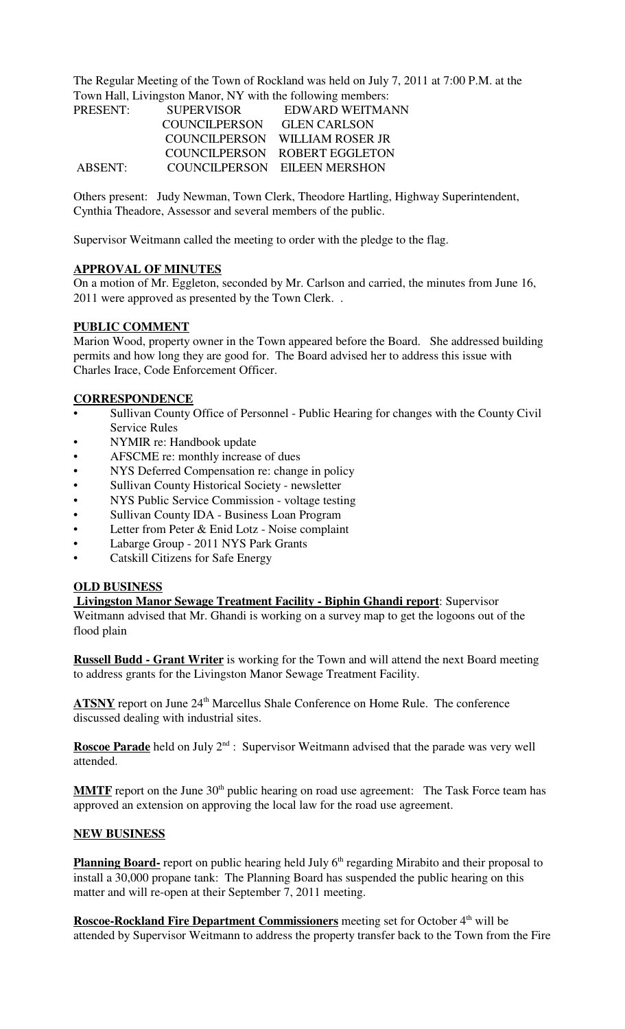The Regular Meeting of the Town of Rockland was held on July 7, 2011 at 7:00 P.M. at the Town Hall, Livingston Manor, NY with the following members:

| PRESENT: | <b>SUPERVISOR</b> | EDWARD WEITMANN                |
|----------|-------------------|--------------------------------|
|          | COUNCILPERSON     | <b>GLEN CARLSON</b>            |
|          |                   | COUNCILPERSON WILLIAM ROSER JR |
|          |                   | COUNCILPERSON ROBERT EGGLETON  |
| ABSENT:  |                   | COUNCILPERSON EILEEN MERSHON   |

Others present: Judy Newman, Town Clerk, Theodore Hartling, Highway Superintendent, Cynthia Theadore, Assessor and several members of the public.

Supervisor Weitmann called the meeting to order with the pledge to the flag.

## **APPROVAL OF MINUTES**

On a motion of Mr. Eggleton, seconded by Mr. Carlson and carried, the minutes from June 16, 2011 were approved as presented by the Town Clerk. .

## **PUBLIC COMMENT**

Marion Wood, property owner in the Town appeared before the Board. She addressed building permits and how long they are good for. The Board advised her to address this issue with Charles Irace, Code Enforcement Officer.

## **CORRESPONDENCE**

- Sullivan County Office of Personnel Public Hearing for changes with the County Civil Service Rules
- NYMIR re: Handbook update
- AFSCME re: monthly increase of dues
- NYS Deferred Compensation re: change in policy
- Sullivan County Historical Society newsletter
- NYS Public Service Commission voltage testing
- Sullivan County IDA Business Loan Program
- Letter from Peter & Enid Lotz Noise complaint
- Labarge Group 2011 NYS Park Grants
- Catskill Citizens for Safe Energy

## **OLD BUSINESS**

 **Livingston Manor Sewage Treatment Facility - Biphin Ghandi report**: Supervisor Weitmann advised that Mr. Ghandi is working on a survey map to get the logoons out of the flood plain

**Russell Budd - Grant Writer** is working for the Town and will attend the next Board meeting to address grants for the Livingston Manor Sewage Treatment Facility.

ATSNY report on June 24<sup>th</sup> Marcellus Shale Conference on Home Rule. The conference discussed dealing with industrial sites.

**Roscoe Parade** held on July 2<sup>nd</sup> : Supervisor Weitmann advised that the parade was very well attended.

**MMTF** report on the June 30<sup>th</sup> public hearing on road use agreement: The Task Force team has approved an extension on approving the local law for the road use agreement.

#### **NEW BUSINESS**

**Planning Board-** report on public hearing held July 6<sup>th</sup> regarding Mirabito and their proposal to install a 30,000 propane tank: The Planning Board has suspended the public hearing on this matter and will re-open at their September 7, 2011 meeting.

**Roscoe-Rockland Fire Department Commissioners** meeting set for October 4<sup>th</sup> will be attended by Supervisor Weitmann to address the property transfer back to the Town from the Fire